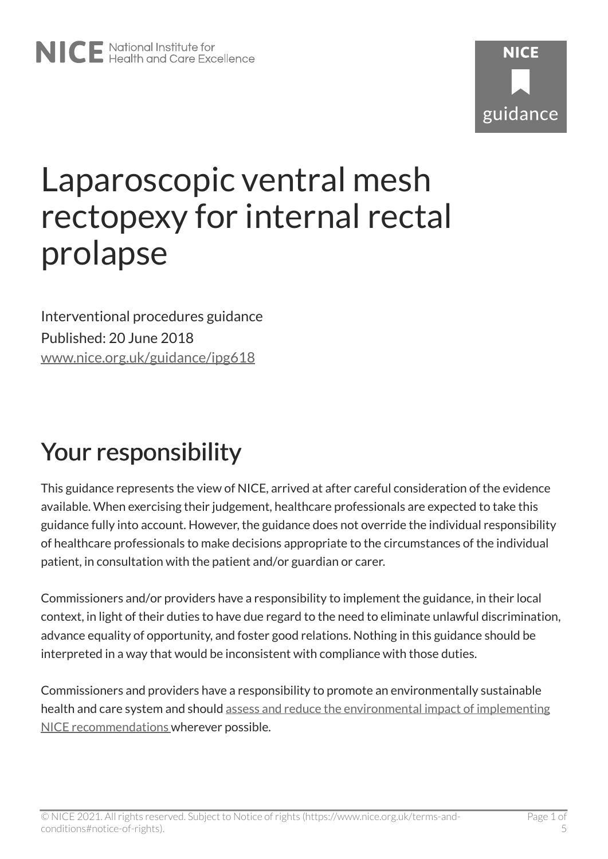# Laparoscopic ventral mesh rectopexy for internal rectal prolapse

Interventional procedures guidance Published: 20 June 2018 [www.nice.org.uk/guidance/ipg618](https://www.nice.org.uk/guidance/ipg618) 

# Your responsibility

This guidance represents the view of NICE, arrived at after careful consideration of the evidence available. When exercising their judgement, healthcare professionals are expected to take this guidance fully into account. However, the guidance does not override the individual responsibility of healthcare professionals to make decisions appropriate to the circumstances of the individual patient, in consultation with the patient and/or guardian or carer.

Commissioners and/or providers have a responsibility to implement the guidance, in their local context, in light of their duties to have due regard to the need to eliminate unlawful discrimination, advance equality of opportunity, and foster good relations. Nothing in this guidance should be interpreted in a way that would be inconsistent with compliance with those duties.

Commissioners and providers have a responsibility to promote an environmentally sustainable health and care system and should [assess and reduce the environmental impact of implementing](https://www.nice.org.uk/about/who-we-are/sustainability)  [NICE recommendations w](https://www.nice.org.uk/about/who-we-are/sustainability)herever possible.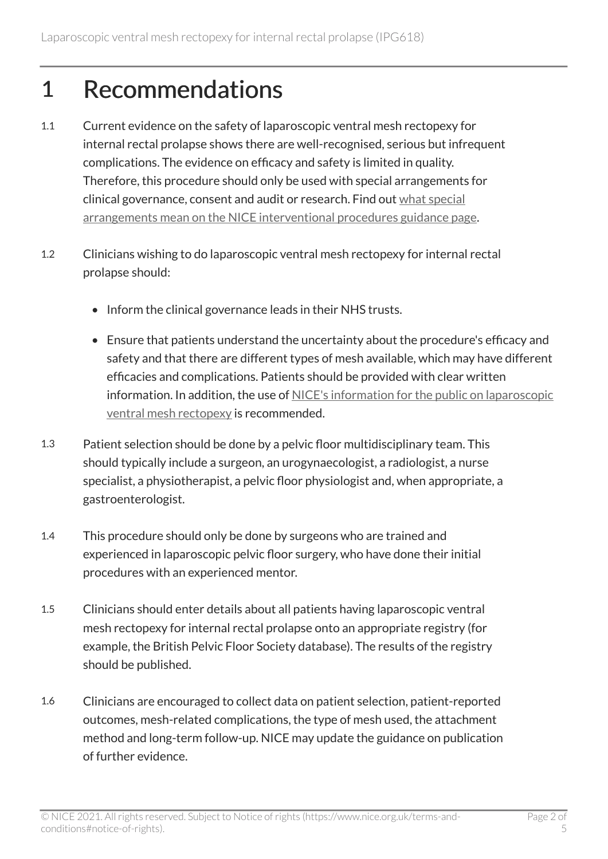### 1 Recommendations

- 1.1 Current evidence on the safety of laparoscopic ventral mesh rectopexy for internal rectal prolapse shows there are well-recognised, serious but infrequent complications. The evidence on efficacy and safety is limited in quality. Therefore, this procedure should only be used with special arrangements for clinical governance, consent and audit or research. Find out [what special](https://www.nice.org.uk/about/what-we-do/our-programmes/nice-guidance/interventional-procedures-guidance/recommendations)  [arrangements mean on the NICE interventional procedures guidance page](https://www.nice.org.uk/about/what-we-do/our-programmes/nice-guidance/interventional-procedures-guidance/recommendations).
- 1.2 Clinicians wishing to do laparoscopic ventral mesh rectopexy for internal rectal prolapse should:
	- Inform the clinical governance leads in their NHS trusts.
	- Ensure that patients understand the uncertainty about the procedure's efficacy and safety and that there are different types of mesh available, which may have different efficacies and complications. Patients should be provided with clear written information. In addition, the use of [NICE's information for the public on laparoscopic](http://www.nice.org.uk/guidance/IPG618/InformationForPublic) [ventral mesh rectopexy](http://www.nice.org.uk/guidance/IPG618/InformationForPublic) is recommended.
- 1.3 Patient selection should be done by a pelvic floor multidisciplinary team. This should typically include a surgeon, an urogynaecologist, a radiologist, a nurse specialist, a physiotherapist, a pelvic floor physiologist and, when appropriate, a gastroenterologist.
- 1.4 This procedure should only be done by surgeons who are trained and experienced in laparoscopic pelvic floor surgery, who have done their initial procedures with an experienced mentor.
- 1.5 Clinicians should enter details about all patients having laparoscopic ventral mesh rectopexy for internal rectal prolapse onto an appropriate registry (for example, the British Pelvic Floor Society database). The results of the registry should be published.
- 1.6 Clinicians are encouraged to collect data on patient selection, patient-reported outcomes, mesh-related complications, the type of mesh used, the attachment method and long-term follow-up. NICE may update the guidance on publication of further evidence.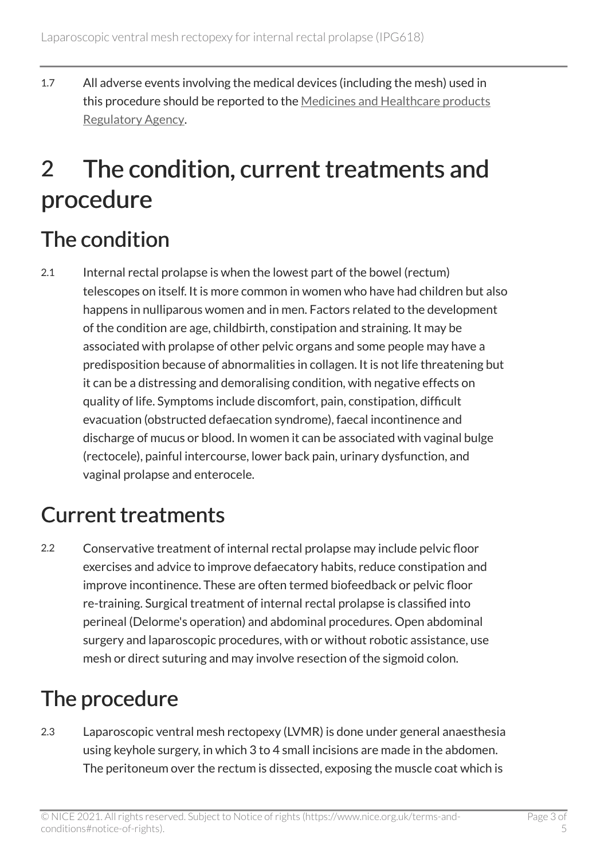1.7 All adverse events involving the medical devices (including the mesh) used in this procedure should be reported to the [Medicines and Healthcare products](https://www.gov.uk/government/organisations/medicines-and-healthcare-products-regulatory-agency) [Regulatory Agency.](https://www.gov.uk/government/organisations/medicines-and-healthcare-products-regulatory-agency)

## 2 The condition, current treatments and procedure

#### The condition

2.1 Internal rectal prolapse is when the lowest part of the bowel (rectum) telescopes on itself. It is more common in women who have had children but also happens in nulliparous women and in men. Factors related to the development of the condition are age, childbirth, constipation and straining. It may be associated with prolapse of other pelvic organs and some people may have a predisposition because of abnormalities in collagen. It is not life threatening but it can be a distressing and demoralising condition, with negative effects on quality of life. Symptoms include discomfort, pain, constipation, difficult evacuation (obstructed defaecation syndrome), faecal incontinence and discharge of mucus or blood. In women it can be associated with vaginal bulge (rectocele), painful intercourse, lower back pain, urinary dysfunction, and vaginal prolapse and enterocele.

#### Current treatments

2.2 Conservative treatment of internal rectal prolapse may include pelvic floor exercises and advice to improve defaecatory habits, reduce constipation and improve incontinence. These are often termed biofeedback or pelvic floor re-training. Surgical treatment of internal rectal prolapse is classified into perineal (Delorme's operation) and abdominal procedures. Open abdominal surgery and laparoscopic procedures, with or without robotic assistance, use mesh or direct suturing and may involve resection of the sigmoid colon.

#### The procedure

2.3 Laparoscopic ventral mesh rectopexy (LVMR) is done under general anaesthesia using keyhole surgery, in which 3 to 4 small incisions are made in the abdomen. The peritoneum over the rectum is dissected, exposing the muscle coat which is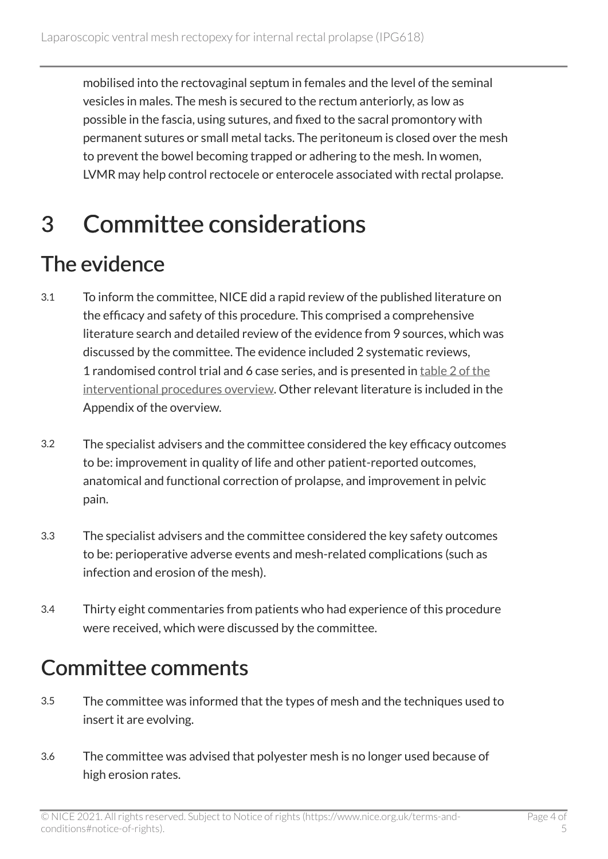mobilised into the rectovaginal septum in females and the level of the seminal vesicles in males. The mesh is secured to the rectum anteriorly, as low as possible in the fascia, using sutures, and fixed to the sacral promontory with permanent sutures or small metal tacks. The peritoneum is closed over the mesh to prevent the bowel becoming trapped or adhering to the mesh. In women, LVMR may help control rectocele or enterocele associated with rectal prolapse.

### 3 Committee considerations

#### The evidence

- 3.1 To inform the committee, NICE did a rapid review of the published literature on the efficacy and safety of this procedure. This comprised a comprehensive literature search and detailed review of the evidence from 9 sources, which was discussed by the committee. The evidence included 2 systematic reviews, 1 randomised control trial and 6 case series, and is presented in table [2 of the](https://www.nice.org.uk/guidance/ipg618/evidence) [interventional procedures overview](https://www.nice.org.uk/guidance/ipg618/evidence). Other relevant literature is included in the Appendix of the overview.
- 3.2 The specialist advisers and the committee considered the key efficacy outcomes to be: improvement in quality of life and other patient-reported outcomes, anatomical and functional correction of prolapse, and improvement in pelvic pain.
- 3.3 The specialist advisers and the committee considered the key safety outcomes to be: perioperative adverse events and mesh-related complications (such as infection and erosion of the mesh).
- 3.4 Thirty eight commentaries from patients who had experience of this procedure were received, which were discussed by the committee.

#### Committee comments

- 3.5 The committee was informed that the types of mesh and the techniques used to insert it are evolving.
- 3.6 The committee was advised that polyester mesh is no longer used because of high erosion rates.